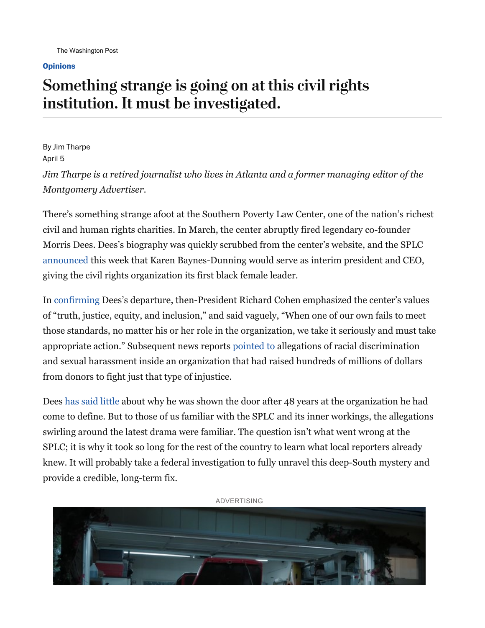The Washington Post

## **Opinions**

## Something strange is going on at this civil rights institution. It must be investigated.

By Jim Tharpe April 5

Jim Tharpe is a retired journalist who lives in Atlanta and a former managing editor of the Montgomery Advertiser.

There's something strange afoot at the Southern Poverty Law Center, one of the nation's richest civil and human rights charities. In March, the center abruptly fired legendary co-founder Morris Dees. Dees's biography was quickly scrubbed from the center's website, and the SPLC announced this week that Karen Baynes-Dunning would serve as interim president and CEO, giving the civil rights organization its first black female leader.

In confirming Dees's departure, then-President Richard Cohen emphasized the center's values of "truth, justice, equity, and inclusion," and said vaguely, "When one of our own fails to meet those standards, no matter his or her role in the organization, we take it seriously and must take appropriate action." Subsequent news reports pointed to allegations of racial discrimination and sexual harassment inside an organization that had raised hundreds of millions of dollars from donors to fight just that type of injustice.

Dees has said little about why he was shown the door after 48 years at the organization he had come to define. But to those of us familiar with the SPLC and its inner workings, the allegations swirling around the latest drama were familiar. The question isn't what went wrong at the SPLC; it is why it took so long for the rest of the country to learn what local reporters already knew. It will probably take a federal investigation to fully unravel this deep-South mystery and provide a credible, long-term fix.

ADVERTISING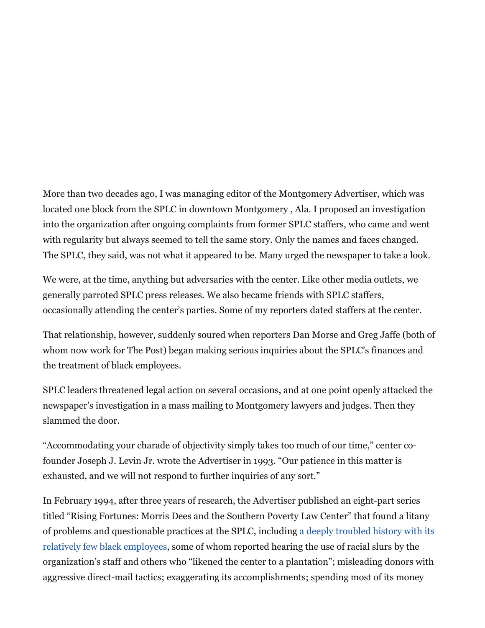More than two decades ago, I was managing editor of the Montgomery Advertiser, which was located one block from the SPLC in downtown Montgomery , Ala. I proposed an investigation into the organization after ongoing complaints from former SPLC staffers, who came and went with regularity but always seemed to tell the same story. Only the names and faces changed. The SPLC, they said, was not what it appeared to be. Many urged the newspaper to take a look.

We were, at the time, anything but adversaries with the center. Like other media outlets, we generally parroted SPLC press releases. We also became friends with SPLC staffers, occasionally attending the center's parties. Some of my reporters dated staffers at the center.

That relationship, however, suddenly soured when reporters Dan Morse and Greg Jaffe (both of whom now work for The Post) began making serious inquiries about the SPLC's finances and the treatment of black employees.

SPLC leaders threatened legal action on several occasions, and at one point openly attacked the newspaper's investigation in a mass mailing to Montgomery lawyers and judges. Then they slammed the door.

"Accommodating your charade of objectivity simply takes too much of our time," center cofounder Joseph J. Levin Jr. wrote the Advertiser in 1993. "Our patience in this matter is exhausted, and we will not respond to further inquiries of any sort."

In February 1994, after three years of research, the Advertiser published an eight-part series titled "Rising Fortunes: Morris Dees and the Southern Poverty Law Center" that found a litany of problems and questionable practices at the SPLC, including a deeply troubled history with its relatively few black employees, some of whom reported hearing the use of racial slurs by the organization's staff and others who "likened the center to a plantation"; misleading donors with aggressive direct-mail tactics; exaggerating its accomplishments; spending most of its money